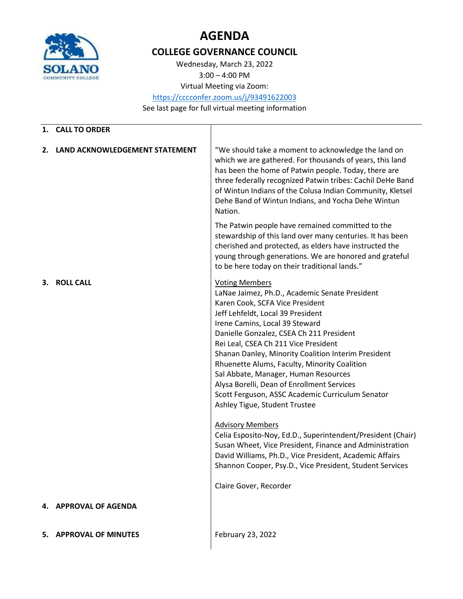

## **AGENDA**

## **COLLEGE GOVERNANCE COUNCIL**

Wednesday, March 23, 2022 3:00 – 4:00 PM

Virtual Meeting via Zoom:

<https://cccconfer.zoom.us/j/93491622003>

See last page for full virtual meeting information

| 1. | <b>CALL TO ORDER</b>           |                                                                                                                                                                                                                                                                                                                                                                                                                                                                                                                                                                                                                                                                                                                                                                                                                                                               |
|----|--------------------------------|---------------------------------------------------------------------------------------------------------------------------------------------------------------------------------------------------------------------------------------------------------------------------------------------------------------------------------------------------------------------------------------------------------------------------------------------------------------------------------------------------------------------------------------------------------------------------------------------------------------------------------------------------------------------------------------------------------------------------------------------------------------------------------------------------------------------------------------------------------------|
| 2. | LAND ACKNOWLEDGEMENT STATEMENT | "We should take a moment to acknowledge the land on<br>which we are gathered. For thousands of years, this land<br>has been the home of Patwin people. Today, there are<br>three federally recognized Patwin tribes: Cachil DeHe Band<br>of Wintun Indians of the Colusa Indian Community, Kletsel<br>Dehe Band of Wintun Indians, and Yocha Dehe Wintun<br>Nation.                                                                                                                                                                                                                                                                                                                                                                                                                                                                                           |
|    |                                | The Patwin people have remained committed to the<br>stewardship of this land over many centuries. It has been<br>cherished and protected, as elders have instructed the<br>young through generations. We are honored and grateful<br>to be here today on their traditional lands."                                                                                                                                                                                                                                                                                                                                                                                                                                                                                                                                                                            |
| З. | <b>ROLL CALL</b>               | <b>Voting Members</b><br>LaNae Jaimez, Ph.D., Academic Senate President<br>Karen Cook, SCFA Vice President<br>Jeff Lehfeldt, Local 39 President<br>Irene Camins, Local 39 Steward<br>Danielle Gonzalez, CSEA Ch 211 President<br>Rei Leal, CSEA Ch 211 Vice President<br>Shanan Danley, Minority Coalition Interim President<br>Rhuenette Alums, Faculty, Minority Coalition<br>Sal Abbate, Manager, Human Resources<br>Alysa Borelli, Dean of Enrollment Services<br>Scott Ferguson, ASSC Academic Curriculum Senator<br>Ashley Tigue, Student Trustee<br><b>Advisory Members</b><br>Celia Esposito-Noy, Ed.D., Superintendent/President (Chair)<br>Susan Wheet, Vice President, Finance and Administration<br>David Williams, Ph.D., Vice President, Academic Affairs<br>Shannon Cooper, Psy.D., Vice President, Student Services<br>Claire Gover, Recorder |
| 4. | <b>APPROVAL OF AGENDA</b>      |                                                                                                                                                                                                                                                                                                                                                                                                                                                                                                                                                                                                                                                                                                                                                                                                                                                               |
| 5. | <b>APPROVAL OF MINUTES</b>     | February 23, 2022                                                                                                                                                                                                                                                                                                                                                                                                                                                                                                                                                                                                                                                                                                                                                                                                                                             |